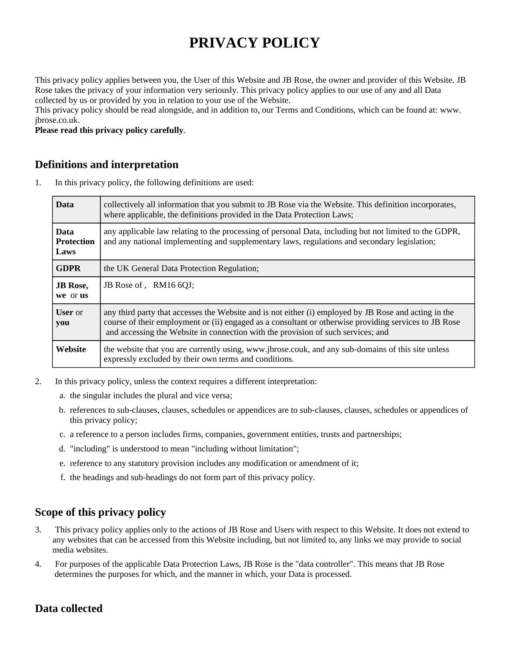# **PRIVACY POLICY**

This privacy policy applies between you, the User of this Website and JB Rose, the owner and provider of this Website. JB Rose takes the privacy of your information very seriously. This privacy policy applies to our use of any and all Data collected by us or provided by you in relation to your use of the Website.

This privacy policy should be read alongside, and in addition to, our Terms and Conditions, which can be found at: www. jbrose.co.uk.

**Please read this privacy policy carefully**.

# **Definitions and interpretation**

1. In this privacy policy, the following definitions are used:

| <b>Data</b>                              | collectively all information that you submit to JB Rose via the Website. This definition incorporates,<br>where applicable, the definitions provided in the Data Protection Laws;                                                                                                                  |
|------------------------------------------|----------------------------------------------------------------------------------------------------------------------------------------------------------------------------------------------------------------------------------------------------------------------------------------------------|
| <b>Data</b><br><b>Protection</b><br>Laws | any applicable law relating to the processing of personal Data, including but not limited to the GDPR,<br>and any national implementing and supplementary laws, regulations and secondary legislation;                                                                                             |
| <b>GDPR</b>                              | the UK General Data Protection Regulation;                                                                                                                                                                                                                                                         |
| <b>JB</b> Rose,<br>we or us              | JB Rose of, RM16 6QJ;                                                                                                                                                                                                                                                                              |
| <b>User</b> or<br>you                    | any third party that accesses the Website and is not either (i) employed by JB Rose and acting in the<br>course of their employment or (ii) engaged as a consultant or otherwise providing services to JB Rose<br>and accessing the Website in connection with the provision of such services; and |
| Website                                  | the website that you are currently using, www.jbrose.couk, and any sub-domains of this site unless<br>expressly excluded by their own terms and conditions.                                                                                                                                        |

- 2. In this privacy policy, unless the context requires a different interpretation:
	- a. the singular includes the plural and vice versa;
	- b. references to sub-clauses, clauses, schedules or appendices are to sub-clauses, clauses, schedules or appendices of this privacy policy;
	- c. a reference to a person includes firms, companies, government entities, trusts and partnerships;
	- d. "including" is understood to mean "including without limitation";
	- e. reference to any statutory provision includes any modification or amendment of it;
	- f. the headings and sub-headings do not form part of this privacy policy.

# **Scope of this privacy policy**

- 3. This privacy policy applies only to the actions of JB Rose and Users with respect to this Website. It does not extend to any websites that can be accessed from this Website including, but not limited to, any links we may provide to social media websites.
- 4. For purposes of the applicable Data Protection Laws, JB Rose is the "data controller". This means that JB Rose determines the purposes for which, and the manner in which, your Data is processed.

# **Data collected**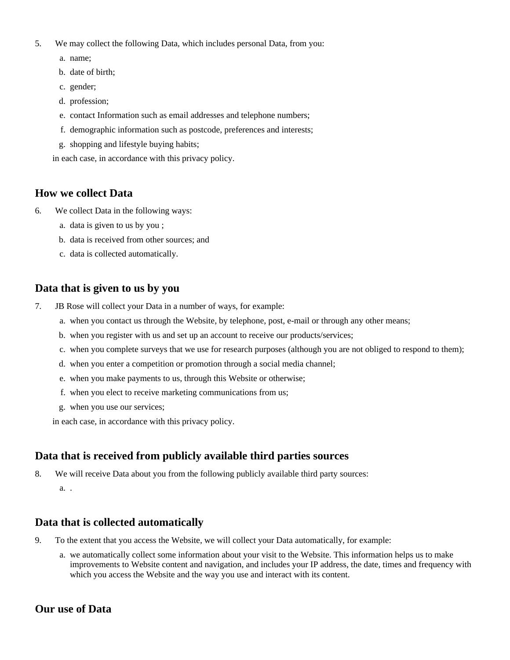- 5. We may collect the following Data, which includes personal Data, from you:
	- a. name;
	- b. date of birth;
	- c. gender;
	- d. profession;
	- e. contact Information such as email addresses and telephone numbers;
	- f. demographic information such as postcode, preferences and interests;
	- g. shopping and lifestyle buying habits;

in each case, in accordance with this privacy policy.

## **How we collect Data**

- 6. We collect Data in the following ways:
	- a. data is given to us by you ;
	- b. data is received from other sources; and
	- c. data is collected automatically.

## **Data that is given to us by you**

- 7. JB Rose will collect your Data in a number of ways, for example:
	- a. when you contact us through the Website, by telephone, post, e-mail or through any other means;
	- b. when you register with us and set up an account to receive our products/services;
	- c. when you complete surveys that we use for research purposes (although you are not obliged to respond to them);
	- d. when you enter a competition or promotion through a social media channel;
	- e. when you make payments to us, through this Website or otherwise;
	- f. when you elect to receive marketing communications from us;
	- g. when you use our services;

in each case, in accordance with this privacy policy.

# **Data that is received from publicly available third parties sources**

a. . 8. We will receive Data about you from the following publicly available third party sources:

## **Data that is collected automatically**

- 9. To the extent that you access the Website, we will collect your Data automatically, for example:
	- a. we automatically collect some information about your visit to the Website. This information helps us to make improvements to Website content and navigation, and includes your IP address, the date, times and frequency with which you access the Website and the way you use and interact with its content.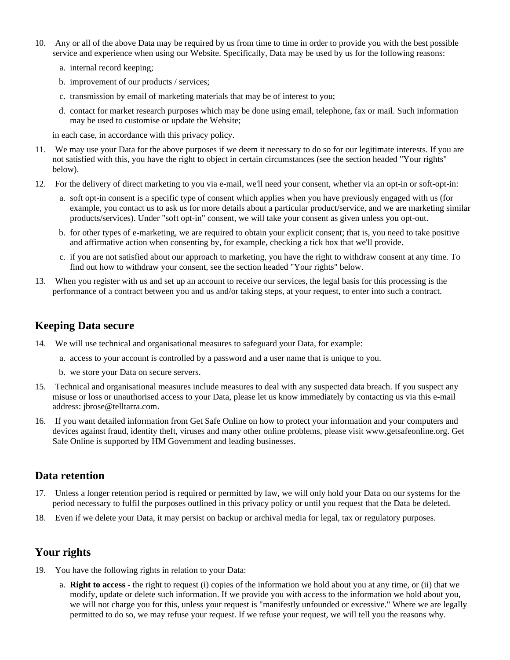- 10. Any or all of the above Data may be required by us from time to time in order to provide you with the best possible service and experience when using our Website. Specifically, Data may be used by us for the following reasons:
	- a. internal record keeping;
	- b. improvement of our products / services;
	- c. transmission by email of marketing materials that may be of interest to you;
	- d. contact for market research purposes which may be done using email, telephone, fax or mail. Such information may be used to customise or update the Website;

in each case, in accordance with this privacy policy.

- 11. We may use your Data for the above purposes if we deem it necessary to do so for our legitimate interests. If you are not satisfied with this, you have the right to object in certain circumstances (see the section headed "Your rights" below).
- 12. For the delivery of direct marketing to you via e-mail, we'll need your consent, whether via an opt-in or soft-opt-in:
	- a. soft opt-in consent is a specific type of consent which applies when you have previously engaged with us (for example, you contact us to ask us for more details about a particular product/service, and we are marketing similar products/services). Under "soft opt-in" consent, we will take your consent as given unless you opt-out.
	- b. for other types of e-marketing, we are required to obtain your explicit consent; that is, you need to take positive and affirmative action when consenting by, for example, checking a tick box that we'll provide.
	- c. if you are not satisfied about our approach to marketing, you have the right to withdraw consent at any time. To find out how to withdraw your consent, see the section headed "Your rights" below.
- 13. When you register with us and set up an account to receive our services, the legal basis for this processing is the performance of a contract between you and us and/or taking steps, at your request, to enter into such a contract.

# **Keeping Data secure**

- 14. We will use technical and organisational measures to safeguard your Data, for example:
	- a. access to your account is controlled by a password and a user name that is unique to you.
	- b. we store your Data on secure servers.
- 15. Technical and organisational measures include measures to deal with any suspected data breach. If you suspect any misuse or loss or unauthorised access to your Data, please let us know immediately by contacting us via this e-mail address: jbrose@telltarra.com.
- 16. If you want detailed information from Get Safe Online on how to protect your information and your computers and devices against fraud, identity theft, viruses and many other online problems, please visit www.getsafeonline.org. Get Safe Online is supported by HM Government and leading businesses.

## **Data retention**

- 17. Unless a longer retention period is required or permitted by law, we will only hold your Data on our systems for the period necessary to fulfil the purposes outlined in this privacy policy or until you request that the Data be deleted.
- 18. Even if we delete your Data, it may persist on backup or archival media for legal, tax or regulatory purposes.

# **Your rights**

- 19. You have the following rights in relation to your Data:
	- a. **Right to access** the right to request (i) copies of the information we hold about you at any time, or (ii) that we modify, update or delete such information. If we provide you with access to the information we hold about you, we will not charge you for this, unless your request is "manifestly unfounded or excessive." Where we are legally permitted to do so, we may refuse your request. If we refuse your request, we will tell you the reasons why.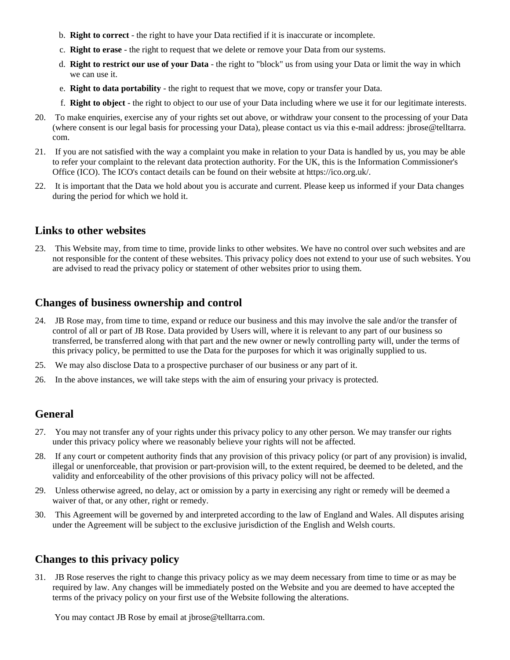- b. **Right to correct** the right to have your Data rectified if it is inaccurate or incomplete.
- c. **Right to erase** the right to request that we delete or remove your Data from our systems.
- d. **Right to restrict our use of your Data** the right to "block" us from using your Data or limit the way in which we can use it.
- e. **Right to data portability** the right to request that we move, copy or transfer your Data.
- f. **Right to object** the right to object to our use of your Data including where we use it for our legitimate interests.
- 20. To make enquiries, exercise any of your rights set out above, or withdraw your consent to the processing of your Data (where consent is our legal basis for processing your Data), please contact us via this e-mail address: jbrose@telltarra. com.
- 21. If you are not satisfied with the way a complaint you make in relation to your Data is handled by us, you may be able to refer your complaint to the relevant data protection authority. For the UK, this is the Information Commissioner's Office (ICO). The ICO's contact details can be found on their website at https://ico.org.uk/.
- 22. It is important that the Data we hold about you is accurate and current. Please keep us informed if your Data changes during the period for which we hold it.

#### **Links to other websites**

23. This Website may, from time to time, provide links to other websites. We have no control over such websites and are not responsible for the content of these websites. This privacy policy does not extend to your use of such websites. You are advised to read the privacy policy or statement of other websites prior to using them.

## **Changes of business ownership and control**

- 24. JB Rose may, from time to time, expand or reduce our business and this may involve the sale and/or the transfer of control of all or part of JB Rose. Data provided by Users will, where it is relevant to any part of our business so transferred, be transferred along with that part and the new owner or newly controlling party will, under the terms of this privacy policy, be permitted to use the Data for the purposes for which it was originally supplied to us.
- 25. We may also disclose Data to a prospective purchaser of our business or any part of it.
- 26. In the above instances, we will take steps with the aim of ensuring your privacy is protected.

## **General**

- 27. You may not transfer any of your rights under this privacy policy to any other person. We may transfer our rights under this privacy policy where we reasonably believe your rights will not be affected.
- 28. If any court or competent authority finds that any provision of this privacy policy (or part of any provision) is invalid, illegal or unenforceable, that provision or part-provision will, to the extent required, be deemed to be deleted, and the validity and enforceability of the other provisions of this privacy policy will not be affected.
- 29. Unless otherwise agreed, no delay, act or omission by a party in exercising any right or remedy will be deemed a waiver of that, or any other, right or remedy.
- 30. This Agreement will be governed by and interpreted according to the law of England and Wales. All disputes arising under the Agreement will be subject to the exclusive jurisdiction of the English and Welsh courts.

# **Changes to this privacy policy**

31. JB Rose reserves the right to change this privacy policy as we may deem necessary from time to time or as may be required by law. Any changes will be immediately posted on the Website and you are deemed to have accepted the terms of the privacy policy on your first use of the Website following the alterations.

You may contact JB Rose by email at jbrose@telltarra.com.